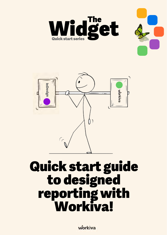





# Quick start guide to designed reporting with Workiva!

workiva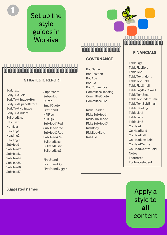Set up the style guides in **Workiva** 

#### 

#### **STRATEGIC REPORT**

Marketter<br>SubHead7<br>SubHead7<br>SubHead7<br>SubHeading2<br>Heading2<br>SubHead7<br>SubHead3<br>SubHead3<br>SubHead3<br>SubHead3<br>SubHead3<br>SubHead3<br>SubHead3<br>SubHead3<br>SubHead3<br>SubHead3 Bodytext BodyTextBold BodyTextSpaceAfter BodyTextSpaceBefore BodyTextNoSpace BodyTextIndent BulletedList DashList NumList Heading1 Heading2 Heading3 SubHead1 SubHead2 SubHead3 SubHead4 SubHead5 SubHead6 SubHead7

Superscript Subscript Quote **SmallQuote** FirstStand KPIFigs4 KPIFigs5 SubHead1Red SubHead2Red SubHead3Red SubHead4Red BulletedList1 BulletedList2 BulletedList3

FirstStand FirstStandBig FirstStandBigger 11-11-11-11-11-11-11-11-11

#### **GOVERNANCE**

BodName BodPosition BodAge BodBio **BodCommittee** CommitteeHeading CommitteQuote CommitteeList

RisksHeader RisksSubHead1 RisksSubHead2 RisksSubHead3 **RiskBody RiskBodyBold** RiskList



#### **FINANCIALS**

**TableFigs TableFigsBold TableText** TableTextIndent TableTextBold **TableFigsSmall** TableFigsBoldSmall **TableTextSmall** TableTextIndentSmall TableTextBoldSmall TableHeading TableList1 TableList2 TableList3 ColHead **ColHeadBold** ColHeadLeft ColHeadLeftBold ColHeadCentre ColHeadCentreBold **Notes** Footnotes FootnotesIndent

> Apply a style to **all** content

Suggested names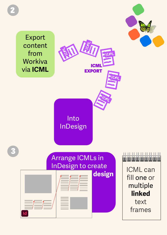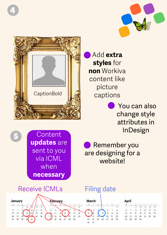



## Add **extra styles** for **non** Workiva content like picture captions

 You can also change style attributes in InDesign

**Content updates** are sent to you via ICML when **necessary**

 Remember you are designing for a website!



5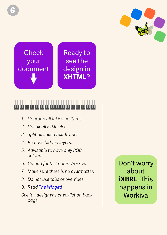

**Check** your document

Ready to see the design in **XHTML**?

#### .. .. .. .. .. ..

- *1. Ungroup all InDesign items.*
- *2. Unlink all ICML files.*
- *3. Split all linked text frames.*
- *4. Remove hidden layers.*
- *5. Advisable to have only RGB colours.*
- *6. Upload fonts if not in Workiva.*
- *7. Make sure there is no overmatter.*
- *8. Do not use tabs or overrides.*
- *9. Read [The Widget](https://support.workiva.com/hc/en-us/community/posts/360073301532-Design-Reporting-Guidelines)!*

*See full designer's checklist on back page.*

Don't worry about **iXBRL**. This happens in **Workiva**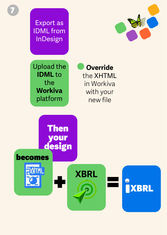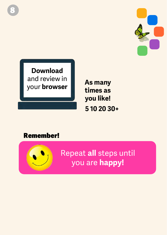

**Download** and review in your **browser**

**As many times as you like! 5 10 20 30+**

### Remember!